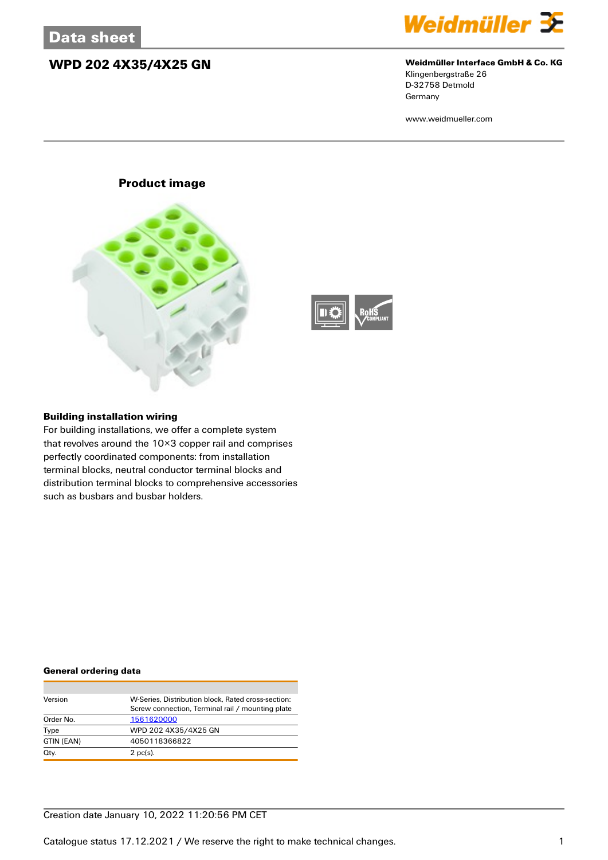## **WPD 202 4X35/4X25 GN Weidmüller Interface GmbH & Co. KG**



Klingenbergstraße 26 D-32758 Detmold Germany

www.weidmueller.com

### **Product image**





#### **Building installation wiring**

For building installations, we offer a complete system that revolves around the 10×3 copper rail and comprises perfectly coordinated components: from installation terminal blocks, neutral conductor terminal blocks and distribution terminal blocks to comprehensive accessories such as busbars and busbar holders.

#### **General ordering data**

| Version<br>W-Series, Distribution block, Rated cross-section: |                                                  |  |  |  |  |
|---------------------------------------------------------------|--------------------------------------------------|--|--|--|--|
|                                                               | Screw connection, Terminal rail / mounting plate |  |  |  |  |
| Order No.                                                     | 1561620000                                       |  |  |  |  |
| Type                                                          | WPD 202 4X35/4X25 GN                             |  |  |  |  |
| GTIN (EAN)                                                    | 4050118366822                                    |  |  |  |  |
| Qty.                                                          | $2$ pc(s).                                       |  |  |  |  |

### Creation date January 10, 2022 11:20:56 PM CET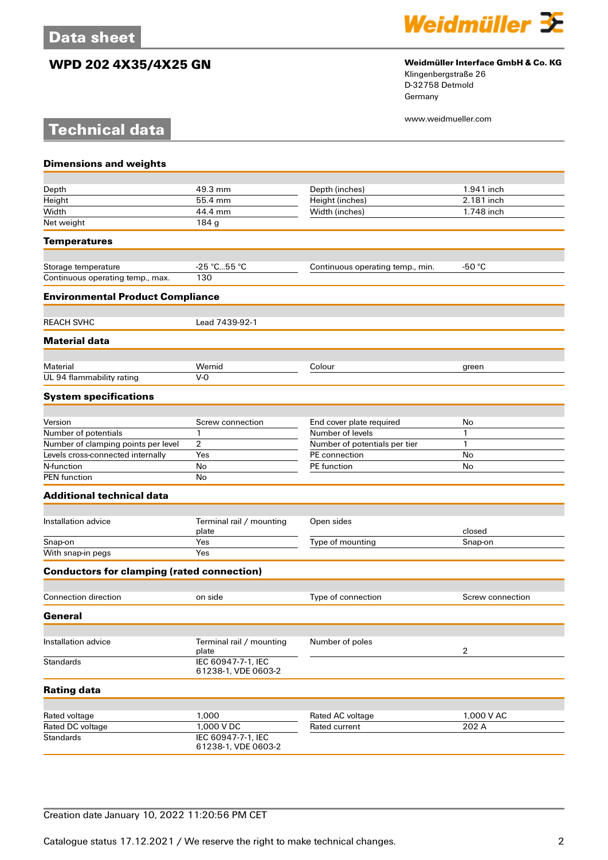**Technical data**

# **WPD 202 4X35/4X25 GN Weidmüller Interface GmbH & Co. KG**



Klingenbergstraße 26 D-32758 Detmold Germany

www.weidmueller.com

| <b>Dimensions and weights</b>                     |                                           |                                   |                     |
|---------------------------------------------------|-------------------------------------------|-----------------------------------|---------------------|
|                                                   |                                           |                                   |                     |
| Depth                                             | 49.3 mm                                   | Depth (inches)                    | 1.941 inch          |
| Height                                            | 55.4 mm                                   | Height (inches)                   | 2.181 inch          |
| Width                                             | 44.4 mm                                   | Width (inches)                    | 1.748 inch          |
| Net weight                                        | 184 g                                     |                                   |                     |
| <b>Temperatures</b>                               |                                           |                                   |                     |
| Storage temperature                               | $-25 °C55 °C$                             | Continuous operating temp., min.  | -50 $^{\circ}$ C    |
| Continuous operating temp., max.                  | 130                                       |                                   |                     |
| <b>Environmental Product Compliance</b>           |                                           |                                   |                     |
| <b>REACH SVHC</b>                                 | Lead 7439-92-1                            |                                   |                     |
| <b>Material data</b>                              |                                           |                                   |                     |
|                                                   |                                           |                                   |                     |
| Material                                          | Wemid                                     | Colour                            | green               |
| UL 94 flammability rating                         | $V-0$                                     |                                   |                     |
| <b>System specifications</b>                      |                                           |                                   |                     |
| Version                                           | Screw connection                          | End cover plate required          | No                  |
| Number of potentials                              | $\mathbf{1}$                              | Number of levels                  | 1                   |
| Number of clamping points per level               | 2                                         | Number of potentials per tier     | 1                   |
| Levels cross-connected internally                 | Yes                                       | PE connection                     | No                  |
| N-function                                        | No                                        | PE function                       | No                  |
| <b>PEN</b> function                               | No                                        |                                   |                     |
| <b>Additional technical data</b>                  |                                           |                                   |                     |
|                                                   |                                           |                                   |                     |
| Installation advice                               | Terminal rail / mounting<br>plate         | Open sides                        | closed              |
| Snap-on                                           | Yes                                       | Type of mounting                  | Snap-on             |
| With snap-in pegs                                 | Yes                                       |                                   |                     |
| <b>Conductors for clamping (rated connection)</b> |                                           |                                   |                     |
| <b>Connection direction</b>                       | on side                                   | Type of connection                | Screw connection    |
| General                                           |                                           |                                   |                     |
|                                                   |                                           |                                   |                     |
| Installation advice                               | Terminal rail / mounting<br>plate         | Number of poles                   | $\mathbf{2}$        |
| <b>Standards</b>                                  | IEC 60947-7-1, IEC<br>61238-1, VDE 0603-2 |                                   |                     |
| <b>Rating data</b>                                |                                           |                                   |                     |
|                                                   |                                           |                                   |                     |
| Rated voltage<br>Rated DC voltage                 | 1,000<br>1,000 V DC                       | Rated AC voltage<br>Rated current | 1,000 V AC<br>202 A |
| <b>Standards</b>                                  | IEC 60947-7-1, IEC                        |                                   |                     |
|                                                   | 61238-1, VDE 0603-2                       |                                   |                     |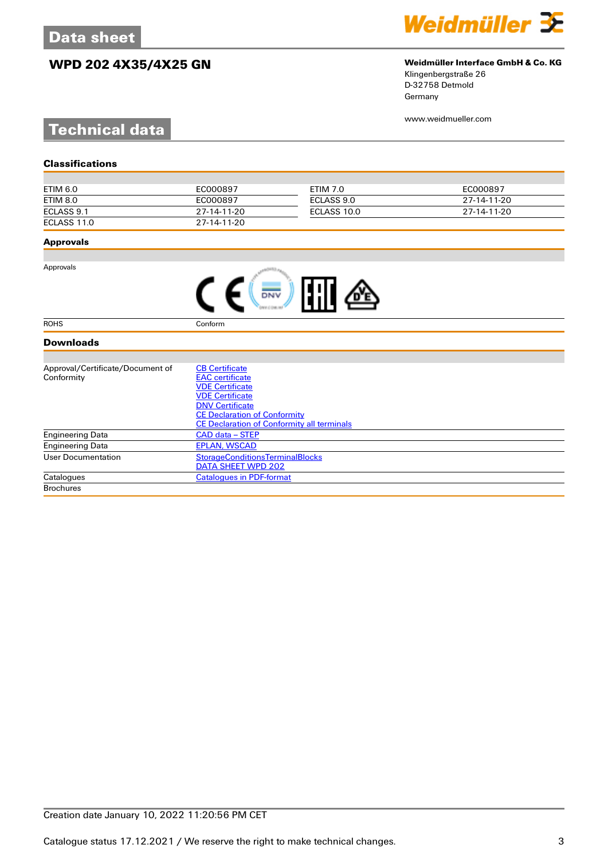# **WPD 202 4X35/4X25 GN Weidmüller Interface GmbH & Co. KG**



Klingenbergstraße 26 D-32758 Detmold Germany

www.weidmueller.com

# **Technical data**

| ETIM 6.0    | EC000897    | ETIM 7.0    | EC000897    |
|-------------|-------------|-------------|-------------|
| ETIM 8.0    | EC000897    | ECLASS 9.0  | 27-14-11-20 |
| ECLASS 9.1  | 27-14-11-20 | ECLASS 10.0 | 27-14-11-20 |
| ECLASS 11.0 | 27-14-11-20 |             |             |

#### **Approvals**

Approvals

| <b>FFII</b> |  |
|-------------|--|
|-------------|--|

ROHS Conform

### **Downloads**

| Approval/Certificate/Document of | <b>CB Certificate</b>                             |
|----------------------------------|---------------------------------------------------|
| Conformity                       | <b>EAC</b> certificate                            |
|                                  | <b>VDE Certificate</b>                            |
|                                  | <b>VDE Certificate</b>                            |
|                                  | <b>DNV Certificate</b>                            |
|                                  | <b>CE Declaration of Conformity</b>               |
|                                  | <b>CE Declaration of Conformity all terminals</b> |
| <b>Engineering Data</b>          | CAD data – STEP                                   |
| <b>Engineering Data</b>          | <b>EPLAN, WSCAD</b>                               |
| User Documentation               | <b>StorageConditionsTerminalBlocks</b>            |
|                                  | DATA SHEET WPD 202                                |
| Catalogues                       | <b>Catalogues in PDF-format</b>                   |
| <b>Brochures</b>                 |                                                   |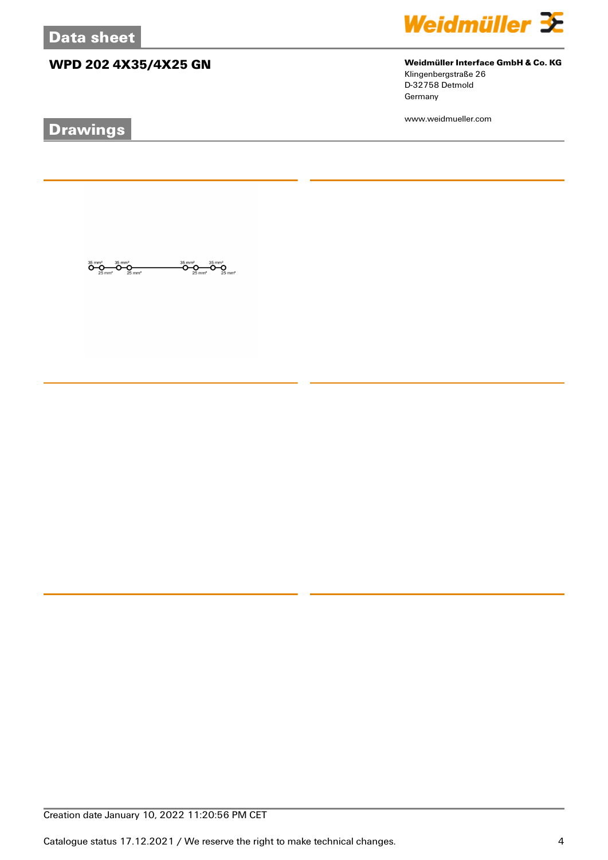# **WPD 202 4X35/4X25 GN Weidmüller Interface GmbH & Co. KG**

 $\overbrace{O}^{35}$ mm<sup>2</sup><br>25 mm<sup>2</sup>

ÖŖ

 $\overline{\mathbf{O}}\underset{25\text{ mm}^2}{\mathbf{O}}\overline{\mathbf{O}}\underset{25\text{ mm}^2}{\mathbf{O}}\overline{\mathbf{O}}\underset{25\text{ mm}^2}{\mathbf{O}}$ 

# **Drawings**



Klingenbergstraße 26 D-32758 Detmold

www.weidmueller.com

Germany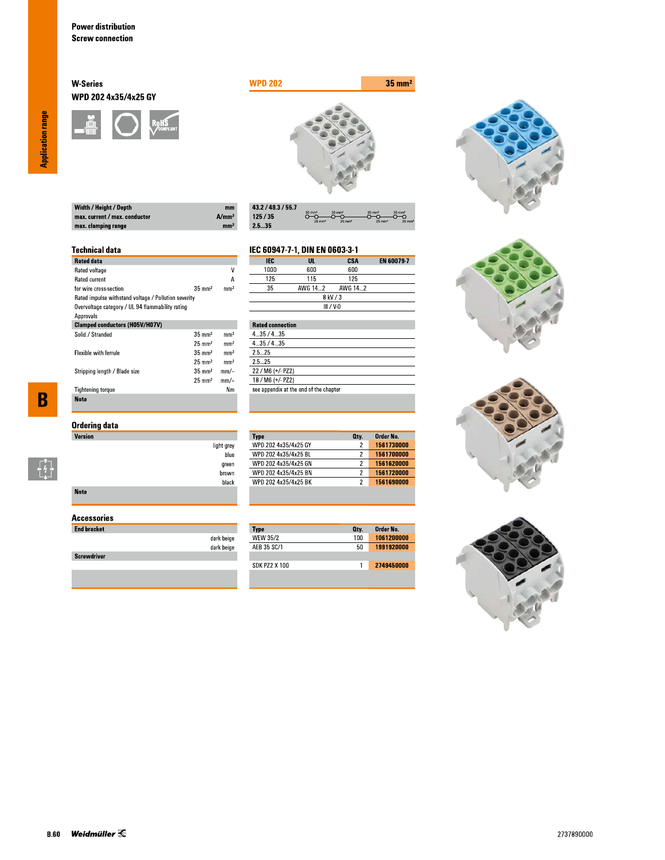#### **W-Series** WPD 202 4x35/4x25 GY





| $m$  |
|------|
| A/mm |
| mm   |
|      |

| 43.2 / 49.3 / 55.7 |                                        |                                           |                                           |                                        |
|--------------------|----------------------------------------|-------------------------------------------|-------------------------------------------|----------------------------------------|
| 125/35             | $35 \text{ mm}^2$<br>$25 \text{ mm}^2$ | $35 \text{ mm}^2$<br>$25$ mm <sup>2</sup> | $35 \text{ mm}^2$<br>$25$ mm <sup>2</sup> | $35 \text{ mm}^2$<br>$25 \, \text{mm}$ |
| 2.535              |                                        |                                           |                                           |                                        |

#### **Technical data**

| <b>Rated data</b>                                    |                   |                 |
|------------------------------------------------------|-------------------|-----------------|
| Rated voltage                                        |                   | ٧               |
| <b>Rated current</b>                                 |                   | А               |
| for wire cross-section                               | $35 \text{ mm}^2$ | mm <sup>2</sup> |
| Rated impulse withstand voltage / Pollution severity |                   |                 |
| Overvoltage category / UL 94 flammability rating     |                   |                 |
| Approvals                                            |                   |                 |
| <b>Clamped conductors (H05V/H07V)</b>                |                   |                 |
| Solid / Stranded                                     | $35 \text{ mm}^2$ | mm <sup>2</sup> |
|                                                      | $25 \text{ mm}^2$ | mm <sup>2</sup> |
| <b>Flexible with ferrule</b>                         | $35 \text{ mm}^2$ | mm <sup>2</sup> |
|                                                      | $25 \text{ mm}^2$ | mm <sup>2</sup> |
| Stripping length / Blade size                        | $35 \text{ mm}^2$ | $mm$ -          |
|                                                      | $25 \text{ mm}^2$ | mm/-            |
| <b>Tightening torque</b>                             |                   | Nm              |
| <b>Note</b>                                          |                   |                 |

## **Ordering data**

| <b>Version</b> |                    |
|----------------|--------------------|
|                | light grey<br>blue |
|                | green              |
|                | brown              |
|                | black              |
| <b>Note</b>    |                    |

### **Accessories**

| <b>End bracket</b> |                          |
|--------------------|--------------------------|
|                    | dark beige<br>dark beige |
| <b>Screwdriver</b> |                          |
|                    |                          |

#### EN 60079-7 **IEC**  $\overline{\mathsf{u}}$ . **CSA** 1000  $600\,$  $600$  $\overline{125}$  $\overline{115}$  $\overline{125}$

IEC 60947-7-1, DIN EN 0603-3-1

**Type**<br>WPD 202 4x35/4x25 GY

WPD 202 4x35/4x25 BL

WPD 202 4x35/4x25 GN

WPD 202 4x35/4x25 BN<br>WPD 202 4x35/4x25 BK

Type<br>WEW 35/2

AEB 35 SC/1

**SDK PZ2 X 100** 

| $- - -$ | .           | .       |  |
|---------|-------------|---------|--|
| 35      | AWG 142     | AWG 142 |  |
|         | 8 kV / 3    |         |  |
|         | $III / V-0$ |         |  |
|         |             |         |  |

| <b>Rated connection</b>                |
|----------------------------------------|
| 435/435                                |
| 435/435                                |
| 25 25                                  |
| 25 25                                  |
| 22 / M6 (+/- PZ2)                      |
| 18 / M6 (+/- PZ2)                      |
| see appendix at the end of the chapter |
|                                        |

Order No.

1561730000

1561700000

1561620000

1561690000

Order No.<br>1061200000

1991920000

2749450000

Oty.

 $\overline{2}$ 

 $\overline{2}$ 

 $\overline{2}$ 

 $\overline{2}$ 

Oty.  $100$ 

 $50\,$ 

 $\overline{1}$ 







**Application range** 

 $\overline{\mathbf{B}}$ 

 $\begin{bmatrix} 1 \\ 1 \\ 1 \end{bmatrix}$